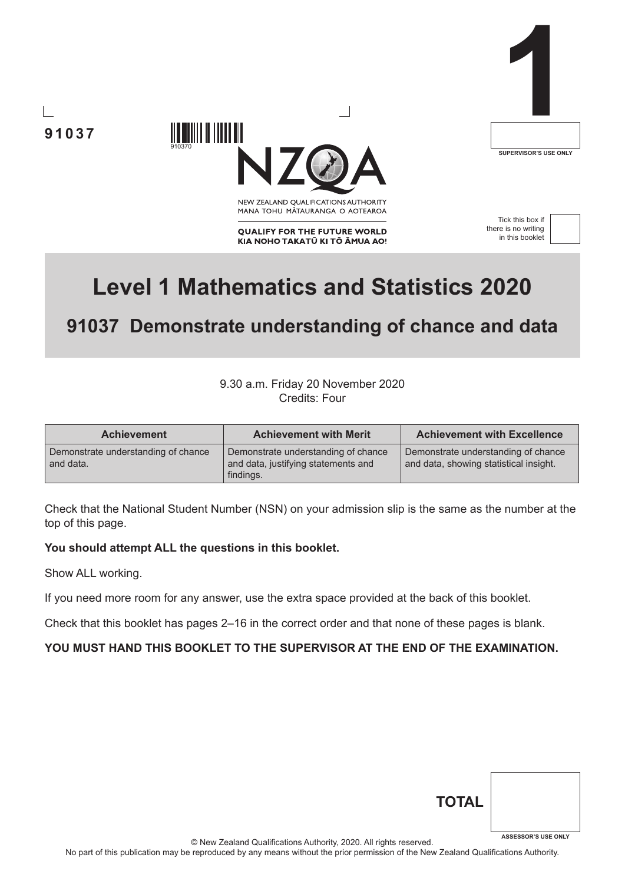**91037**



**SUPERVISOR'S USE ONLY**

NEW ZEALAND OUALIFICATIONS AUTHORITY MANA TOHU MATAURANGA O AOTEAROA

**QUALIFY FOR THE FUTURE WORLD** KIA NOHO TAKATŪ KI TŌ ĀMUA AO!

Tick this box if there is no writing in this booklet



# **Level 1 Mathematics and Statistics 2020**

## **91037 Demonstrate understanding of chance and data**

## 9.30 a.m. Friday 20 November 2020 Credits: Four

| <b>Achievement</b>                               | <b>Achievement with Merit</b>                                                           | <b>Achievement with Excellence</b>                                            |  |  |
|--------------------------------------------------|-----------------------------------------------------------------------------------------|-------------------------------------------------------------------------------|--|--|
| Demonstrate understanding of chance<br>and data. | Demonstrate understanding of chance<br>and data, justifying statements and<br>findings. | Demonstrate understanding of chance<br>and data, showing statistical insight. |  |  |

Check that the National Student Number (NSN) on your admission slip is the same as the number at the top of this page.

## **You should attempt ALL the questions in this booklet.**

910370

IIIII IIIIIIIII

Show ALL working.

If you need more room for any answer, use the extra space provided at the back of this booklet.

Check that this booklet has pages 2–16 in the correct order and that none of these pages is blank.

### **YOU MUST HAND THIS BOOKLET TO THE SUPERVISOR AT THE END OF THE EXAMINATION.**

| <b>TOTAL</b> |                            |
|--------------|----------------------------|
|              | <b>ASSESSOR'S USE ONLY</b> |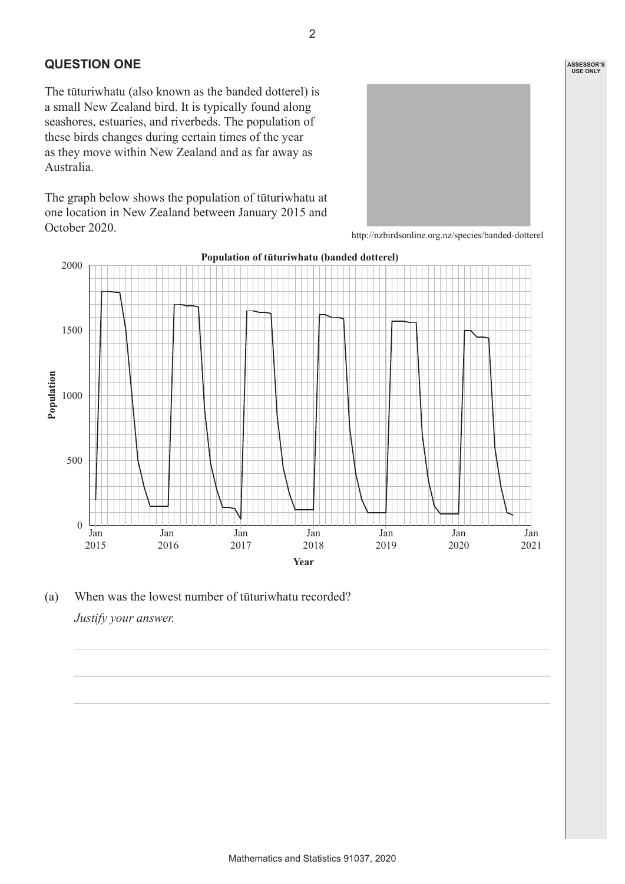## **QUESTION ONE**

The tūturiwhatu (also known as the banded dotterel) is a small New Zealand bird. It is typically found along seashores, estuaries, and riverbeds. The population of these birds changes during certain times of the year as they move within New Zealand and as far away as Australia.

The graph below shows the population of tūturiwhatu at one location in New Zealand between January 2015 and October 2020.





(a) When was the lowest number of tūturiwhatu recorded? *Justify your answer.*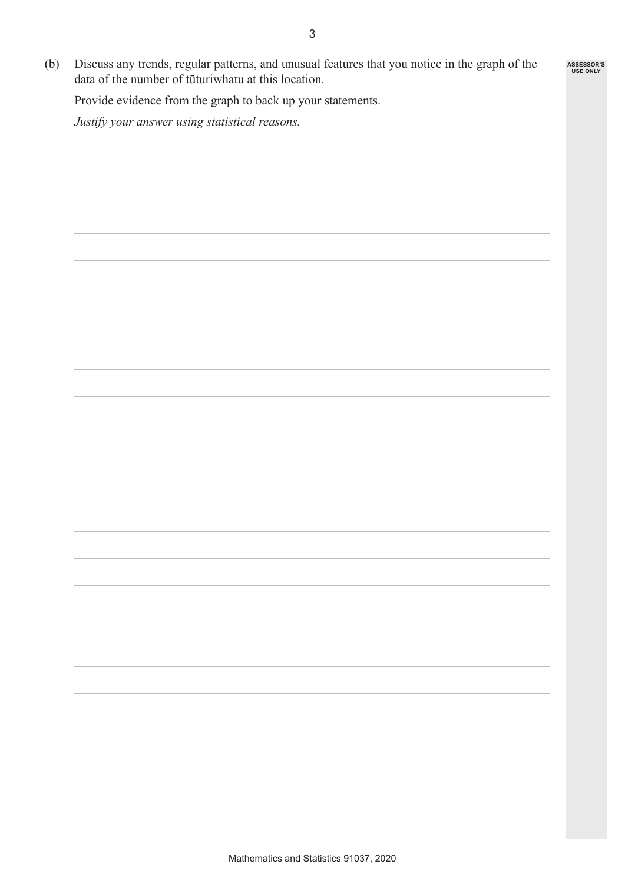**ASSESSOR'S USE ONLY**

(b) Discuss any trends, regular patterns, and unusual features that you notice in the graph of the data of the number of tūturiwhatu at this location.

Provide evidence from the graph to back up your statements.

*Justify your answer using statistical reasons.*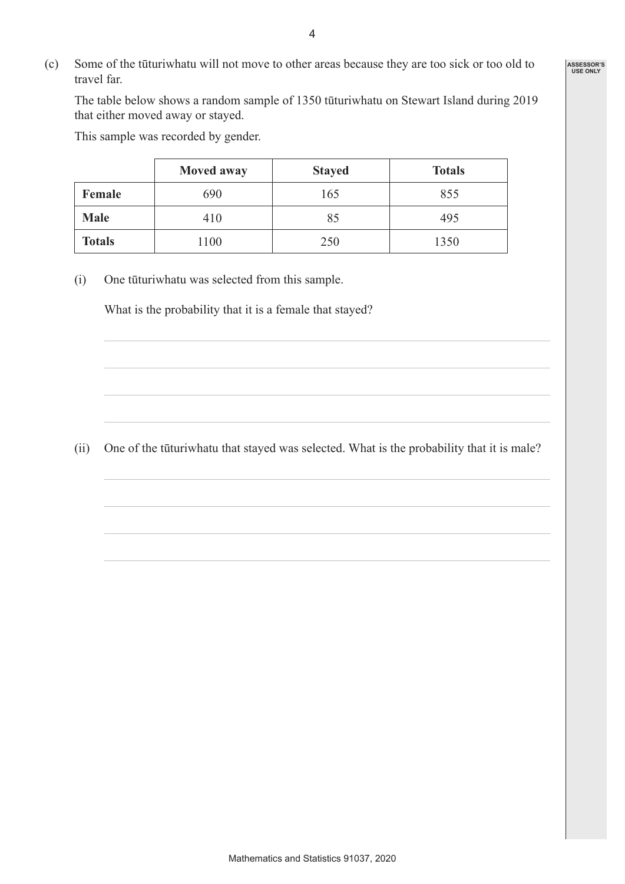(c) Some of the tūturiwhatu will not move to other areas because they are too sick or too old to travel far.

The table below shows a random sample of 1350 tūturiwhatu on Stewart Island during 2019 that either moved away or stayed.

This sample was recorded by gender.

|               | <b>Moved away</b> | <b>Stayed</b> | <b>Totals</b> |
|---------------|-------------------|---------------|---------------|
| Female        | 690               | 165           | 855           |
| <b>Male</b>   | 410               | 85            | 495           |
| <b>Totals</b> | 1100              | 250           | 1350          |

(i) One tūturiwhatu was selected from this sample.

What is the probability that it is a female that stayed?

(ii) One of the tūturiwhatu that stayed was selected. What is the probability that it is male?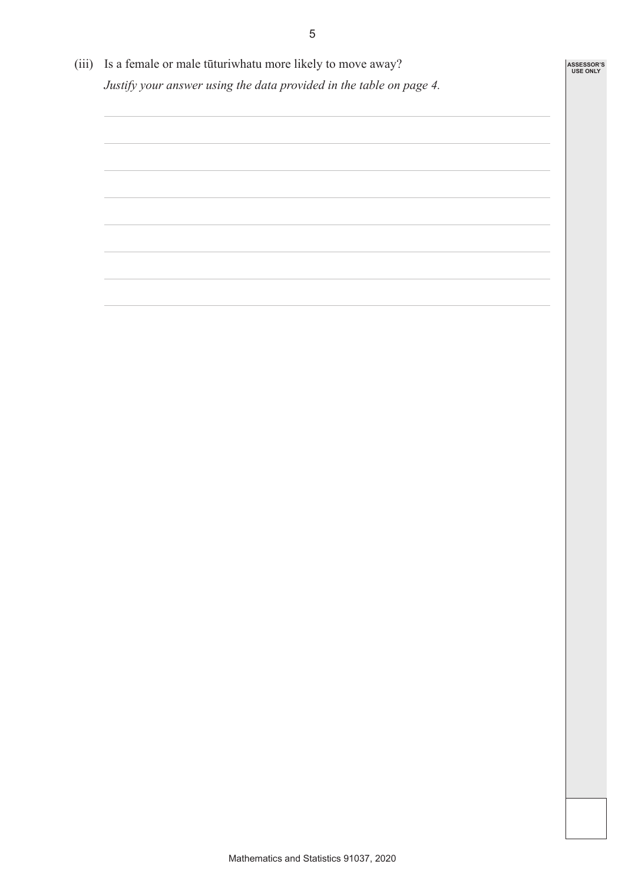(iii) Is a female or male tūturiwhatu more likely to move away? *Justify your answer using the data provided in the table on page 4.*

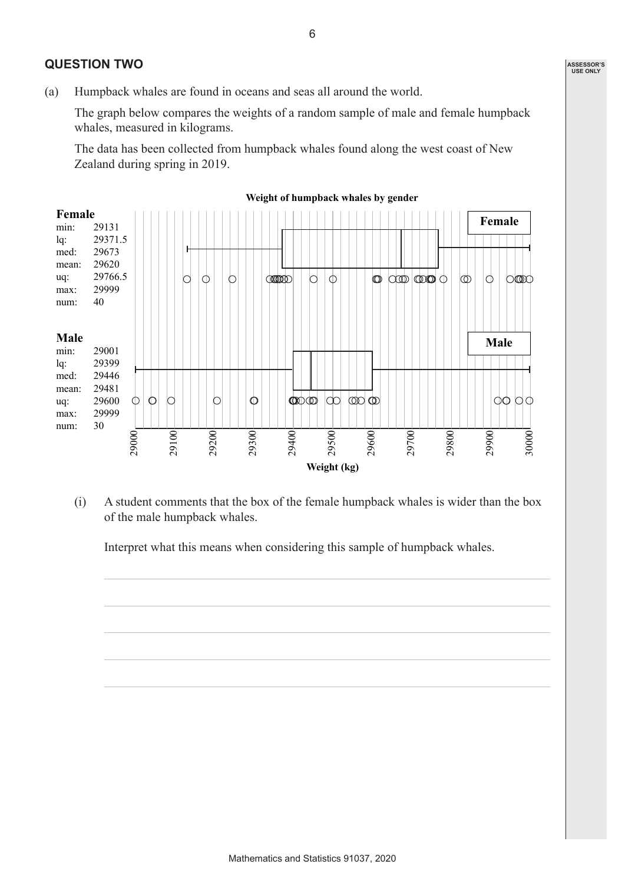## **QUESTION TWO**

(a) Humpback whales are found in oceans and seas all around the world.

The graph below compares the weights of a random sample of male and female humpback whales, measured in kilograms.

The data has been collected from humpback whales found along the west coast of New Zealand during spring in 2019.



#### **Weight of humpback whales by gender**

(i) A student comments that the box of the female humpback whales is wider than the box of the male humpback whales.

Interpret what this means when considering this sample of humpback whales.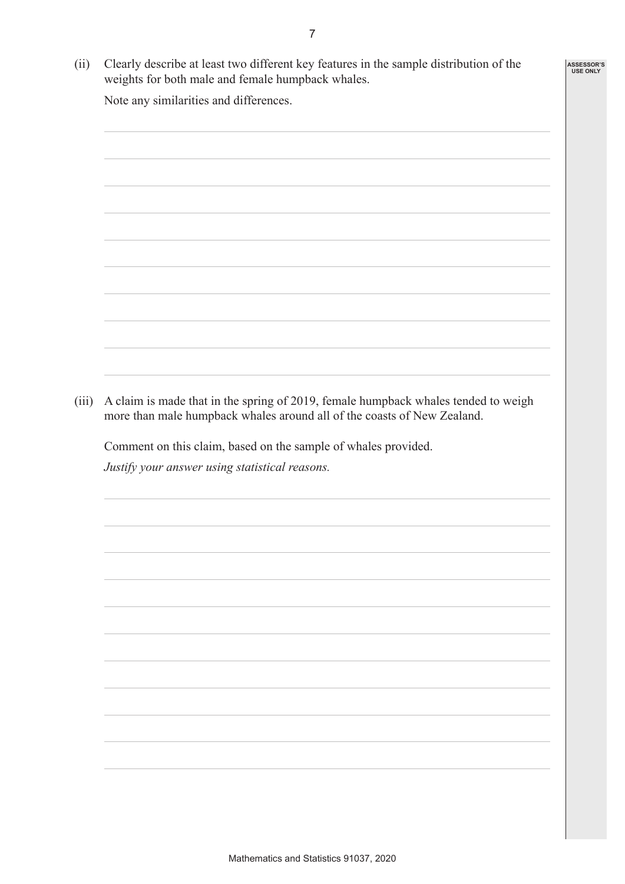(ii) Clearly describe at least two different key features in the sample distribution of the weights for both male and female humpback whales.

Note any similarities and differences.



(iii) A claim is made that in the spring of 2019, female humpback whales tended to weigh more than male humpback whales around all of the coasts of New Zealand.

Comment on this claim, based on the sample of whales provided.

*Justify your answer using statistical reasons.*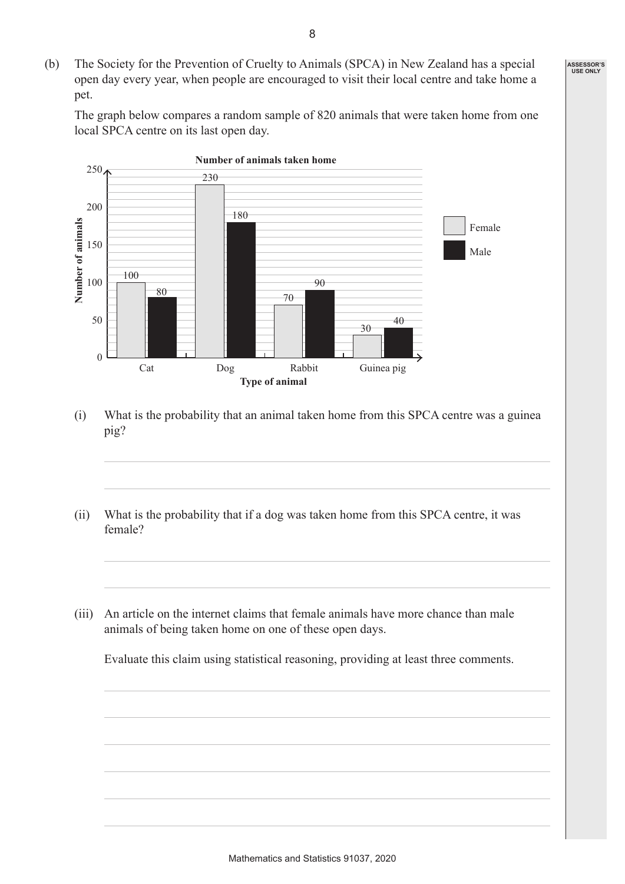(b) The Society for the Prevention of Cruelty to Animals (SPCA) in New Zealand has a special open day every year, when people are encouraged to visit their local centre and take home a pet.

The graph below compares a random sample of 820 animals that were taken home from one local SPCA centre on its last open day.



- (i) What is the probability that an animal taken home from this SPCA centre was a guinea pig?
- (ii) What is the probability that if a dog was taken home from this SPCA centre, it was female?
- (iii) An article on the internet claims that female animals have more chance than male animals of being taken home on one of these open days.

Evaluate this claim using statistical reasoning, providing at least three comments.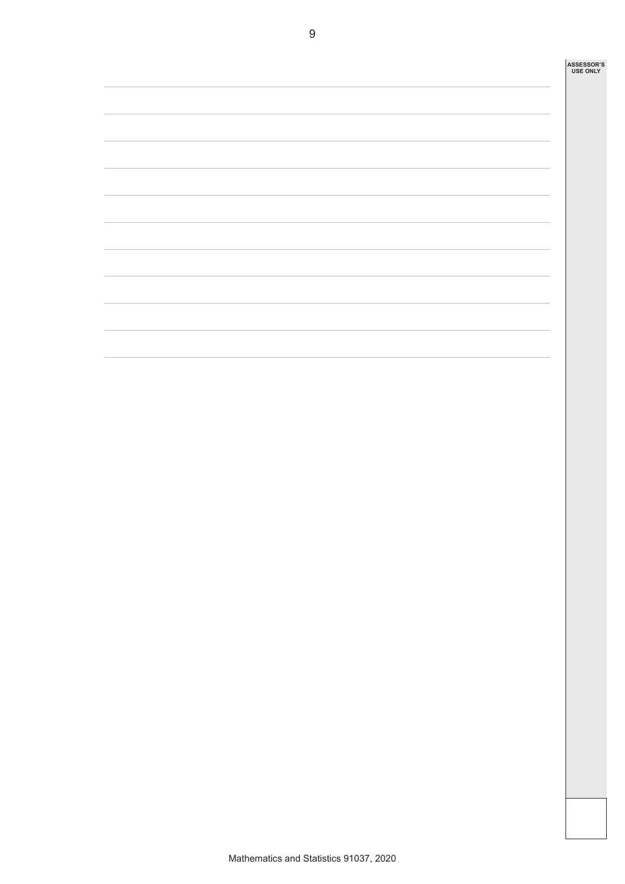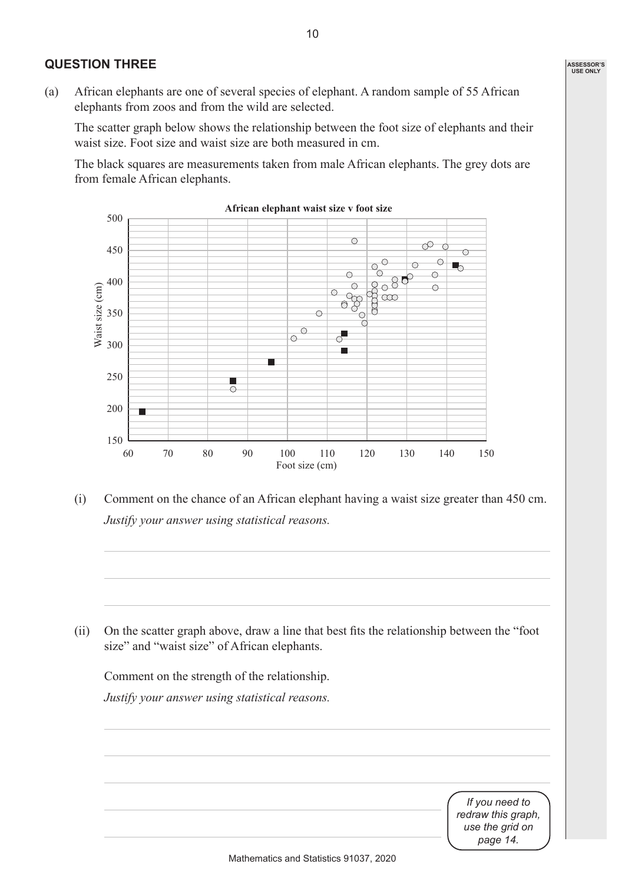## **QUESTION THREE**

(a) African elephants are one of several species of elephant. A random sample of 55 African elephants from zoos and from the wild are selected.

The scatter graph below shows the relationship between the foot size of elephants and their waist size. Foot size and waist size are both measured in cm.

The black squares are measurements taken from male African elephants. The grey dots are from female African elephants.



(i) Comment on the chance of an African elephant having a waist size greater than 450 cm. *Justify your answer using statistical reasons.*

(ii) On the scatter graph above, draw a line that best fits the relationship between the "foot size" and "waist size" of African elephants.

Comment on the strength of the relationship. *Justify your answer using statistical reasons.*

*If you need to redraw this graph, use the grid on page 14.*

Mathematics and Statistics 91037, 2020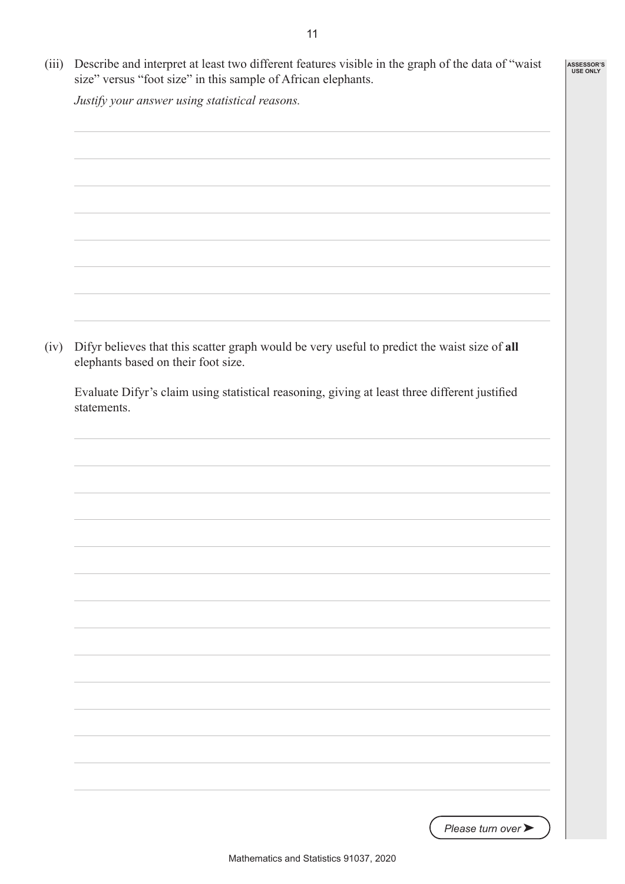(iii) Describe and interpret at least two different features visible in the graph of the data of "waist size" versus "foot size" in this sample of African elephants. **ASSESSOR'S USE ONLY**

*Justify your answer using statistical reasons.*

(iv) Difyr believes that this scatter graph would be very useful to predict the waist size of **all** elephants based on their foot size.

Evaluate Difyr's claim using statistical reasoning, giving at least three different justified statements.

*Please turn over* ➤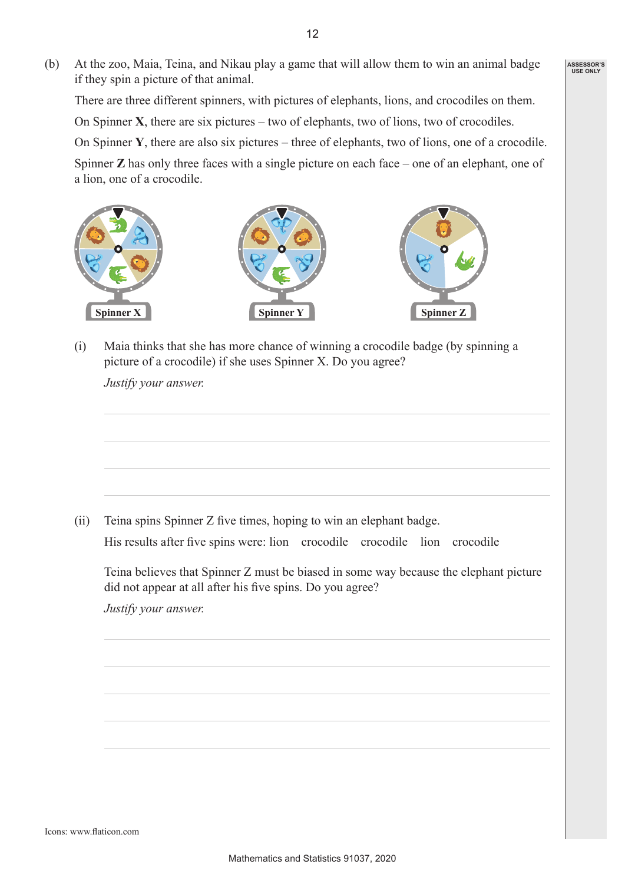(b) At the zoo, Maia, Teina, and Nikau play a game that will allow them to win an animal badge if they spin a picture of that animal.

There are three different spinners, with pictures of elephants, lions, and crocodiles on them.

On Spinner **X**, there are six pictures – two of elephants, two of lions, two of crocodiles.

On Spinner **Y**, there are also six pictures – three of elephants, two of lions, one of a crocodile.

Spinner **Z** has only three faces with a single picture on each face – one of an elephant, one of a lion, one of a crocodile.



(i) Maia thinks that she has more chance of winning a crocodile badge (by spinning a picture of a crocodile) if she uses Spinner X. Do you agree?

*Justify your answer.*

(ii) Teina spins Spinner Z five times, hoping to win an elephant badge. His results after five spins were: lion crocodile crocodile lion crocodile

Teina believes that Spinner Z must be biased in some way because the elephant picture did not appear at all after his five spins. Do you agree?

*Justify your answer.*

12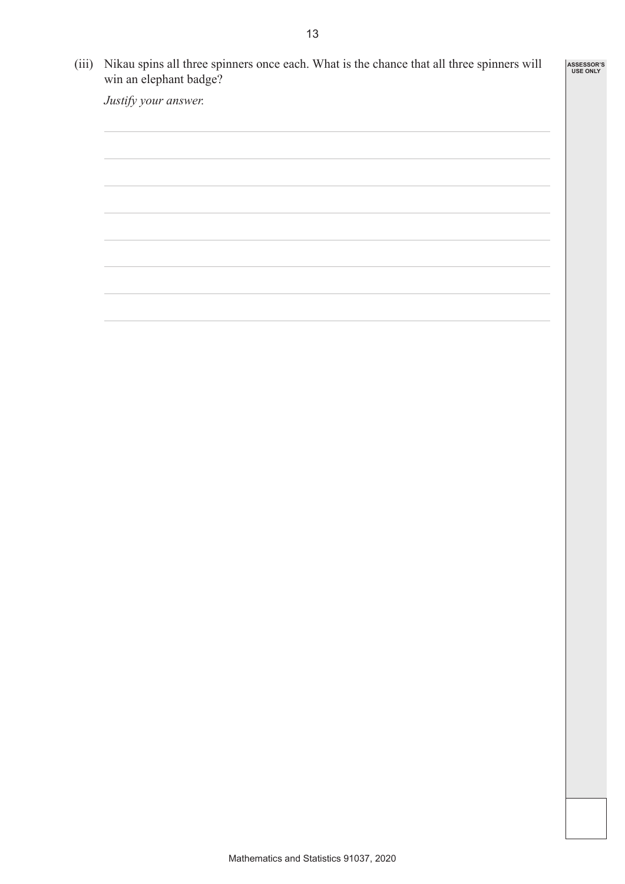(iii) Nikau spins all three spinners once each. What is the chance that all three spinners will win an elephant badge?

**ASSESSOR'S USE ONLY**

*Justify your answer.*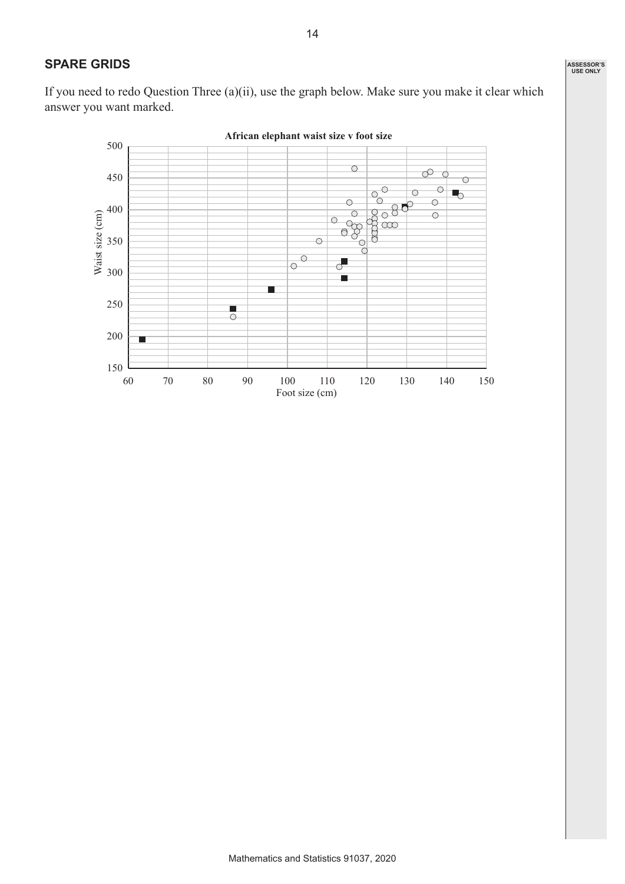If you need to redo Question Three (a)(ii), use the graph below. Make sure you make it clear which answer you want marked.

**SPARE GRIDS**

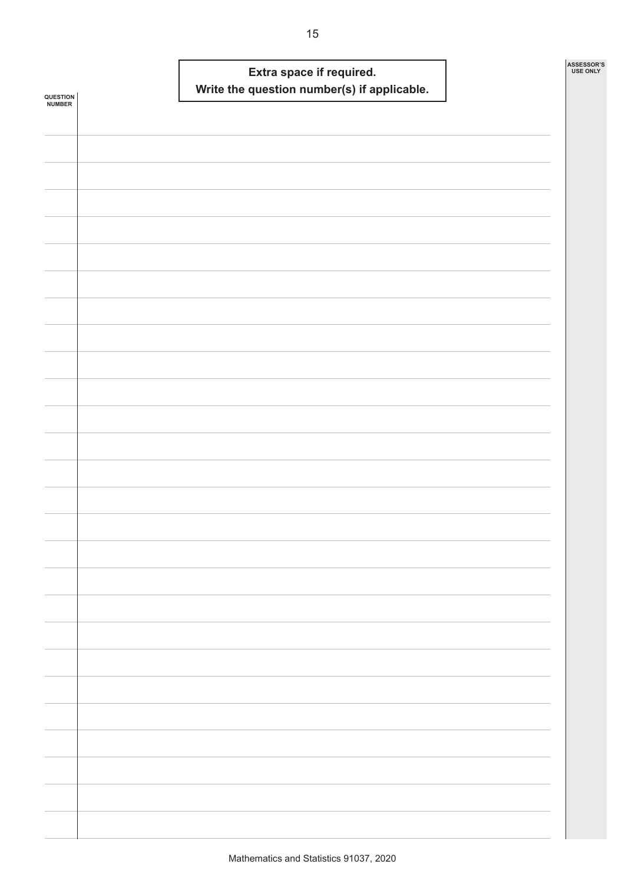| QUESTION<br>NUMBER |  | Write the question number(s) if applicable. | Extra space if required. |  | ASSESSOR'S<br><b>USE ONLY</b> |
|--------------------|--|---------------------------------------------|--------------------------|--|-------------------------------|
|                    |  |                                             |                          |  |                               |
|                    |  |                                             |                          |  |                               |
|                    |  |                                             |                          |  |                               |
|                    |  |                                             |                          |  |                               |
|                    |  |                                             |                          |  |                               |
|                    |  |                                             |                          |  |                               |
|                    |  |                                             |                          |  |                               |
|                    |  |                                             |                          |  |                               |
|                    |  |                                             |                          |  |                               |
|                    |  |                                             |                          |  |                               |
|                    |  |                                             |                          |  |                               |
|                    |  |                                             |                          |  |                               |
|                    |  |                                             |                          |  |                               |
|                    |  |                                             |                          |  |                               |
|                    |  |                                             |                          |  |                               |
|                    |  |                                             |                          |  |                               |
|                    |  |                                             |                          |  |                               |
|                    |  |                                             |                          |  |                               |
|                    |  |                                             |                          |  |                               |
|                    |  |                                             |                          |  |                               |
|                    |  |                                             |                          |  |                               |
|                    |  |                                             |                          |  |                               |
|                    |  |                                             |                          |  |                               |
|                    |  |                                             |                          |  |                               |